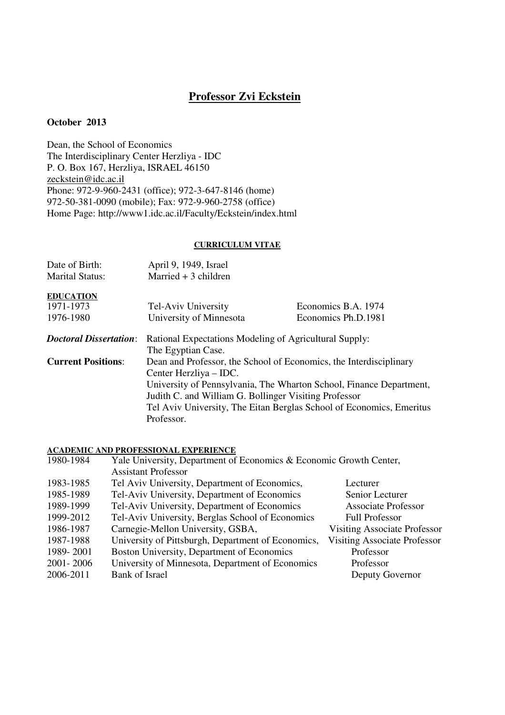# **Professor Zvi Eckstein**

### **October 2013**

Dean, the School of Economics The Interdisciplinary Center Herzliya - IDC P. O. Box 167, Herzliya, ISRAEL 46150 zeckstein@idc.ac.il Phone: 972-9-960-2431 (office); 972-3-647-8146 (home) 972-50-381-0090 (mobile); Fax: 972-9-960-2758 (office) Home Page: http://www1.idc.ac.il/Faculty/Eckstein/index.html

#### **CURRICULUM VITAE**

| Date of Birth:                | April 9, 1949, Israel                                                |                     |
|-------------------------------|----------------------------------------------------------------------|---------------------|
| <b>Marital Status:</b>        | Married $+3$ children                                                |                     |
| <b>EDUCATION</b>              |                                                                      |                     |
| 1971-1973                     | Tel-Aviv University                                                  | Economics B.A. 1974 |
| 1976-1980                     | University of Minnesota                                              | Economics Ph.D.1981 |
| <b>Doctoral Dissertation:</b> | Rational Expectations Modeling of Agricultural Supply:               |                     |
|                               | The Egyptian Case.                                                   |                     |
| <b>Current Positions:</b>     | Dean and Professor, the School of Economics, the Interdisciplinary   |                     |
|                               | Center Herzliya – IDC.                                               |                     |
|                               | University of Pennsylvania, The Wharton School, Finance Department,  |                     |
|                               | Judith C. and William G. Bollinger Visiting Professor                |                     |
|                               | Tel Aviv University, The Eitan Berglas School of Economics, Emeritus |                     |
|                               | Professor.                                                           |                     |

### **ACADEMIC AND PROFESSIONAL EXPERIENCE**

| 1980-1984 | Yale University, Department of Economics & Economic Growth Center, |                                     |
|-----------|--------------------------------------------------------------------|-------------------------------------|
|           | <b>Assistant Professor</b>                                         |                                     |
| 1983-1985 | Tel Aviv University, Department of Economics,                      | Lecturer                            |
| 1985-1989 | Tel-Aviv University, Department of Economics                       | Senior Lecturer                     |
| 1989-1999 | Tel-Aviv University, Department of Economics                       | <b>Associate Professor</b>          |
| 1999-2012 | Tel-Aviv University, Berglas School of Economics                   | <b>Full Professor</b>               |
| 1986-1987 | Carnegie-Mellon University, GSBA,                                  | <b>Visiting Associate Professor</b> |
| 1987-1988 | University of Pittsburgh, Department of Economics,                 | <b>Visiting Associate Professor</b> |
| 1989-2001 | Boston University, Department of Economics                         | Professor                           |
| 2001-2006 | University of Minnesota, Department of Economics                   | Professor                           |
| 2006-2011 | <b>Bank of Israel</b>                                              | Deputy Governor                     |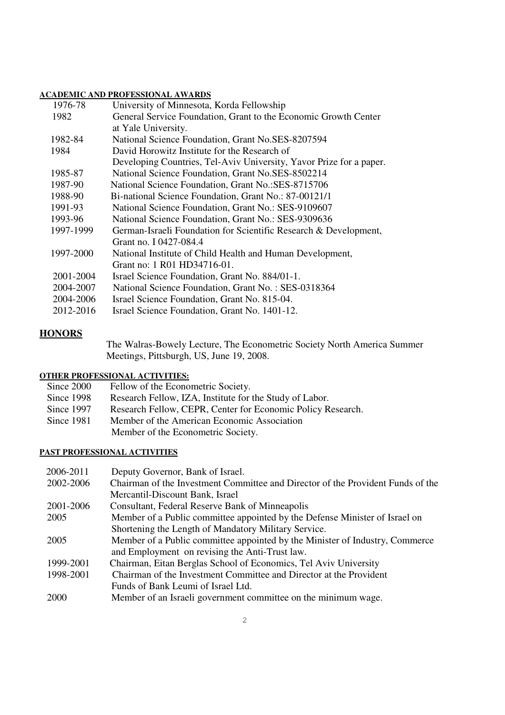### **ACADEMIC AND PROFESSIONAL AWARDS**

| 1976-78   | University of Minnesota, Korda Fellowship                           |
|-----------|---------------------------------------------------------------------|
| 1982      | General Service Foundation, Grant to the Economic Growth Center     |
|           | at Yale University.                                                 |
| 1982-84   | National Science Foundation, Grant No.SES-8207594                   |
| 1984      | David Horowitz Institute for the Research of                        |
|           | Developing Countries, Tel-Aviv University, Yavor Prize for a paper. |
| 1985-87   | National Science Foundation, Grant No.SES-8502214                   |
| 1987-90   | National Science Foundation, Grant No.: SES-8715706                 |
| 1988-90   | Bi-national Science Foundation, Grant No.: 87-00121/1               |
| 1991-93   | National Science Foundation, Grant No.: SES-9109607                 |
| 1993-96   | National Science Foundation, Grant No.: SES-9309636                 |
| 1997-1999 | German-Israeli Foundation for Scientific Research & Development,    |
|           | Grant no. I 0427-084.4                                              |
| 1997-2000 | National Institute of Child Health and Human Development,           |
|           | Grant no: 1 R01 HD34716-01.                                         |
| 2001-2004 | Israel Science Foundation, Grant No. 884/01-1.                      |
| 2004-2007 | National Science Foundation, Grant No.: SES-0318364                 |
| 2004-2006 | Israel Science Foundation, Grant No. 815-04.                        |
| 2012-2016 | Israel Science Foundation, Grant No. 1401-12.                       |
|           |                                                                     |

# **HONORS**

The Walras-Bowely Lecture, The Econometric Society North America Summer Meetings, Pittsburgh, US, June 19, 2008.

## **OTHER PROFESSIONAL ACTIVITIES:**

| Since 2000 | Fellow of the Econometric Society.                          |
|------------|-------------------------------------------------------------|
| Since 1998 | Research Fellow, IZA, Institute for the Study of Labor.     |
| Since 1997 | Research Fellow, CEPR, Center for Economic Policy Research. |
| Since 1981 | Member of the American Economic Association                 |
|            | Member of the Econometric Society.                          |
|            |                                                             |

## **PAST PROFESSIONAL ACTIVITIES**

| 2006-2011 | Deputy Governor, Bank of Israel.                                                |
|-----------|---------------------------------------------------------------------------------|
| 2002-2006 | Chairman of the Investment Committee and Director of the Provident Funds of the |
|           | Mercantil-Discount Bank, Israel                                                 |
| 2001-2006 | Consultant, Federal Reserve Bank of Minneapolis                                 |
| 2005      | Member of a Public committee appointed by the Defense Minister of Israel on     |
|           | Shortening the Length of Mandatory Military Service.                            |
| 2005      | Member of a Public committee appointed by the Minister of Industry, Commerce    |
|           | and Employment on revising the Anti-Trust law.                                  |
| 1999-2001 | Chairman, Eitan Berglas School of Economics, Tel Aviv University                |
| 1998-2001 | Chairman of the Investment Committee and Director at the Provident              |
|           | Funds of Bank Leumi of Israel Ltd.                                              |
| 2000      | Member of an Israeli government committee on the minimum wage.                  |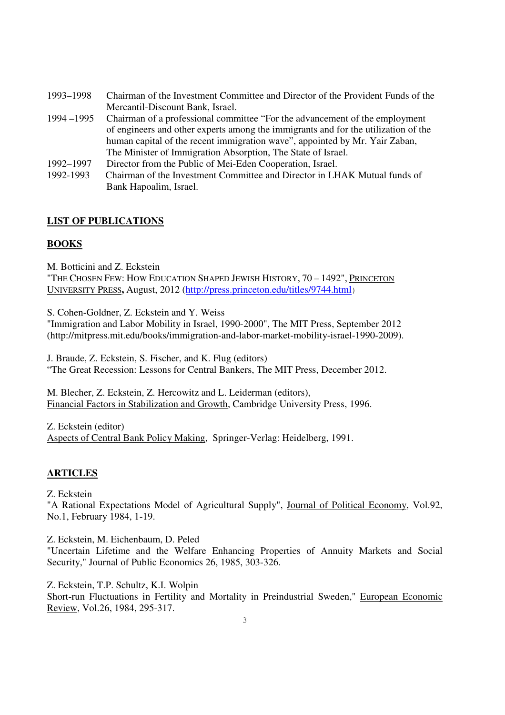| 1993-1998     | Chairman of the Investment Committee and Director of the Provident Funds of the    |
|---------------|------------------------------------------------------------------------------------|
|               | Mercantil-Discount Bank, Israel.                                                   |
| $1994 - 1995$ | Chairman of a professional committee "For the advancement of the employment"       |
|               | of engineers and other experts among the immigrants and for the utilization of the |
|               | human capital of the recent immigration wave", appointed by Mr. Yair Zaban,        |
|               | The Minister of Immigration Absorption, The State of Israel.                       |
| 1992-1997     | Director from the Public of Mei-Eden Cooperation, Israel.                          |
| 1992-1993     | Chairman of the Investment Committee and Director in LHAK Mutual funds of          |
|               | Bank Hapoalim, Israel.                                                             |
|               |                                                                                    |

# **LIST OF PUBLICATIONS**

### **BOOKS**

M. Botticini and Z. Eckstein

"THE CHOSEN FEW: HOW EDUCATION SHAPED JEWISH HISTORY, 70 – 1492", PRINCETON UNIVERSITY PRESS**,** August, 2012 (http://press.princeton.edu/titles/9744.html)

S. Cohen-Goldner, Z. Eckstein and Y. Weiss

"Immigration and Labor Mobility in Israel, 1990-2000", The MIT Press, September 2012 (http://mitpress.mit.edu/books/immigration-and-labor-market-mobility-israel-1990-2009).

J. Braude, Z. Eckstein, S. Fischer, and K. Flug (editors) "The Great Recession: Lessons for Central Bankers, The MIT Press, December 2012.

M. Blecher, Z. Eckstein, Z. Hercowitz and L. Leiderman (editors), Financial Factors in Stabilization and Growth, Cambridge University Press, 1996.

Z. Eckstein (editor) Aspects of Central Bank Policy Making, Springer-Verlag: Heidelberg, 1991.

# **ARTICLES**

Z. Eckstein

"A Rational Expectations Model of Agricultural Supply", Journal of Political Economy, Vol.92, No.1, February 1984, 1-19.

Z. Eckstein, M. Eichenbaum, D. Peled

"Uncertain Lifetime and the Welfare Enhancing Properties of Annuity Markets and Social Security," Journal of Public Economics 26, 1985, 303-326.

Z. Eckstein, T.P. Schultz, K.I. Wolpin

Short-run Fluctuations in Fertility and Mortality in Preindustrial Sweden," European Economic Review, Vol.26, 1984, 295-317.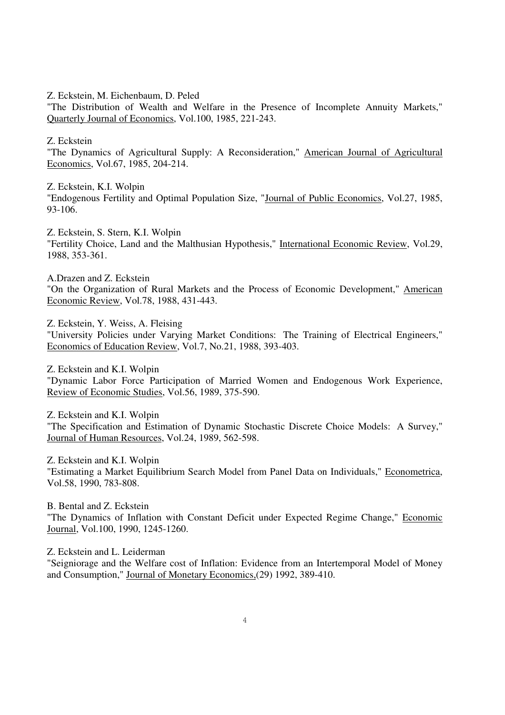Z. Eckstein, M. Eichenbaum, D. Peled

"The Distribution of Wealth and Welfare in the Presence of Incomplete Annuity Markets," Quarterly Journal of Economics, Vol.100, 1985, 221-243.

Z. Eckstein

"The Dynamics of Agricultural Supply: A Reconsideration," American Journal of Agricultural Economics, Vol.67, 1985, 204-214.

Z. Eckstein, K.I. Wolpin

"Endogenous Fertility and Optimal Population Size, "Journal of Public Economics, Vol.27, 1985, 93-106.

Z. Eckstein, S. Stern, K.I. Wolpin "Fertility Choice, Land and the Malthusian Hypothesis," International Economic Review, Vol.29, 1988, 353-361.

A.Drazen and Z. Eckstein

"On the Organization of Rural Markets and the Process of Economic Development," American Economic Review, Vol.78, 1988, 431-443.

Z. Eckstein, Y. Weiss, A. Fleising

"University Policies under Varying Market Conditions: The Training of Electrical Engineers," Economics of Education Review, Vol.7, No.21, 1988, 393-403.

Z. Eckstein and K.I. Wolpin "Dynamic Labor Force Participation of Married Women and Endogenous Work Experience, Review of Economic Studies, Vol.56, 1989, 375-590.

Z. Eckstein and K.I. Wolpin "The Specification and Estimation of Dynamic Stochastic Discrete Choice Models: A Survey," Journal of Human Resources, Vol.24, 1989, 562-598.

Z. Eckstein and K.I. Wolpin "Estimating a Market Equilibrium Search Model from Panel Data on Individuals," Econometrica, Vol.58, 1990, 783-808.

B. Bental and Z. Eckstein "The Dynamics of Inflation with Constant Deficit under Expected Regime Change," Economic Journal, Vol.100, 1990, 1245-1260.

Z. Eckstein and L. Leiderman

"Seigniorage and the Welfare cost of Inflation: Evidence from an Intertemporal Model of Money and Consumption," Journal of Monetary Economics,(29) 1992, 389-410.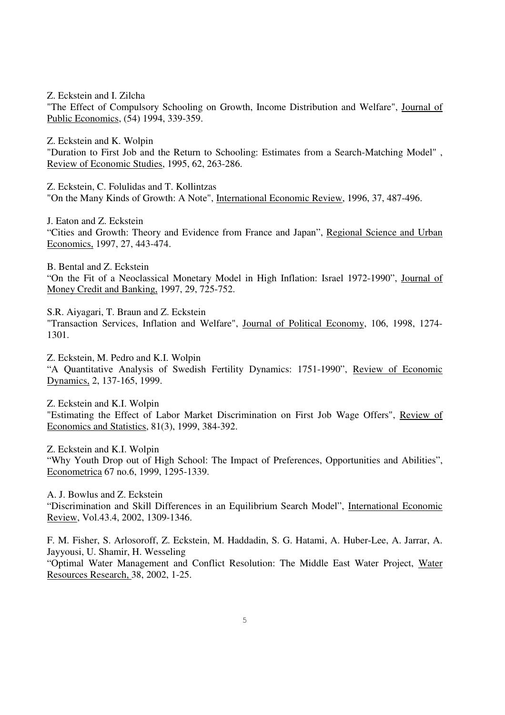Z. Eckstein and I. Zilcha "The Effect of Compulsory Schooling on Growth, Income Distribution and Welfare", Journal of Public Economics, (54) 1994, 339-359.

Z. Eckstein and K. Wolpin "Duration to First Job and the Return to Schooling: Estimates from a Search-Matching Model" , Review of Economic Studies, 1995, 62, 263-286.

Z. Eckstein, C. Folulidas and T. Kollintzas "On the Many Kinds of Growth: A Note", International Economic Review, 1996, 37, 487-496.

J. Eaton and Z. Eckstein "Cities and Growth: Theory and Evidence from France and Japan", Regional Science and Urban Economics, 1997, 27, 443-474.

B. Bental and Z. Eckstein "On the Fit of a Neoclassical Monetary Model in High Inflation: Israel 1972-1990", Journal of Money Credit and Banking, 1997, 29, 725-752.

S.R. Aiyagari, T. Braun and Z. Eckstein "Transaction Services, Inflation and Welfare", Journal of Political Economy, 106, 1998, 1274- 1301.

Z. Eckstein, M. Pedro and K.I. Wolpin "A Quantitative Analysis of Swedish Fertility Dynamics: 1751-1990", Review of Economic Dynamics, 2, 137-165, 1999.

Z. Eckstein and K.I. Wolpin "Estimating the Effect of Labor Market Discrimination on First Job Wage Offers", Review of Economics and Statistics, 81(3), 1999, 384-392.

Z. Eckstein and K.I. Wolpin "Why Youth Drop out of High School: The Impact of Preferences, Opportunities and Abilities", Econometrica 67 no.6, 1999, 1295-1339.

A. J. Bowlus and Z. Eckstein "Discrimination and Skill Differences in an Equilibrium Search Model", International Economic Review, Vol.43.4, 2002, 1309-1346.

F. M. Fisher, S. Arlosoroff, Z. Eckstein, M. Haddadin, S. G. Hatami, A. Huber-Lee, A. Jarrar, A. Jayyousi, U. Shamir, H. Wesseling "Optimal Water Management and Conflict Resolution: The Middle East Water Project, Water Resources Research, 38, 2002, 1-25.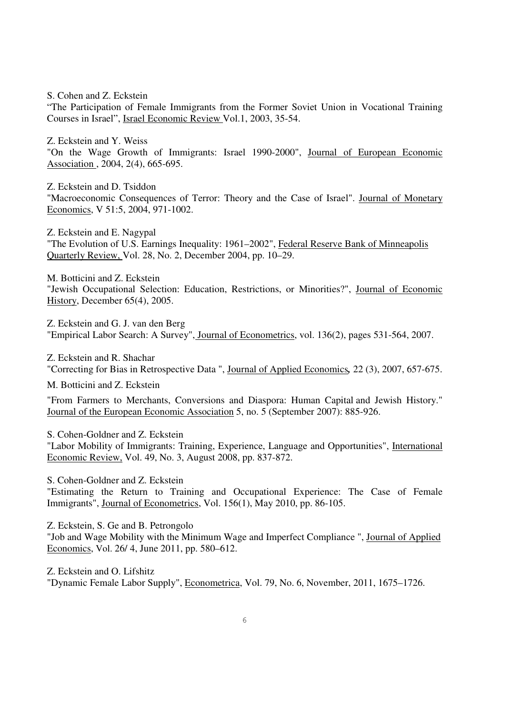S. Cohen and Z. Eckstein

"The Participation of Female Immigrants from the Former Soviet Union in Vocational Training Courses in Israel", Israel Economic Review Vol.1, 2003, 35-54.

Z. Eckstein and Y. Weiss

"On the Wage Growth of Immigrants: Israel 1990-2000", Journal of European Economic Association , 2004, 2(4), 665-695.

Z. Eckstein and D. Tsiddon "Macroeconomic Consequences of Terror: Theory and the Case of Israel". Journal of Monetary Economics, V 51:5, 2004, 971-1002.

Z. Eckstein and E. Nagypal "The Evolution of U.S. Earnings Inequality: 1961–2002", Federal Reserve Bank of Minneapolis Quarterly Review, Vol. 28, No. 2, December 2004, pp. 10–29.

M. Botticini and Z. Eckstein "Jewish Occupational Selection: Education, Restrictions, or Minorities?", Journal of Economic History, December 65(4), 2005.

Z. Eckstein and G. J. van den Berg "Empirical Labor Search: A Survey", Journal of Econometrics, vol. 136(2), pages 531-564, 2007.

Z. Eckstein and R. Shachar "Correcting for Bias in Retrospective Data ", Journal of Applied Economics*,* 22 (3), 2007, 657-675.

M. Botticini and Z. Eckstein

"From Farmers to Merchants, Conversions and Diaspora: Human Capital and Jewish History." Journal of the European Economic Association 5, no. 5 (September 2007): 885-926.

S. Cohen-Goldner and Z. Eckstein "Labor Mobility of Immigrants: Training, Experience, Language and Opportunities", International Economic Review, Vol. 49, No. 3, August 2008, pp. 837-872.

S. Cohen-Goldner and Z. Eckstein "Estimating the Return to Training and Occupational Experience: The Case of Female Immigrants", Journal of Econometrics, Vol. 156(1), May 2010, pp. 86-105.

Z. Eckstein, S. Ge and B. Petrongolo

"Job and Wage Mobility with the Minimum Wage and Imperfect Compliance ", Journal of Applied Economics, Vol. 26/ 4, June 2011, pp. 580–612.

Z. Eckstein and O. Lifshitz "Dynamic Female Labor Supply", Econometrica, Vol. 79, No. 6, November, 2011, 1675–1726.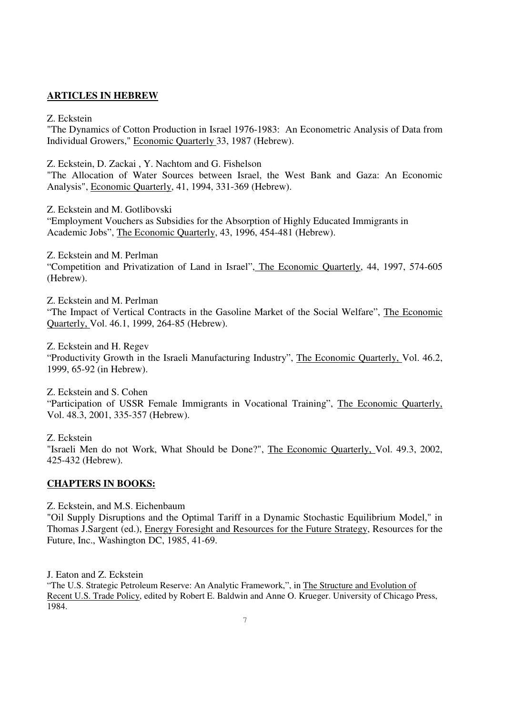# **ARTICLES IN HEBREW**

### Z. Eckstein

"The Dynamics of Cotton Production in Israel 1976-1983: An Econometric Analysis of Data from Individual Growers," Economic Quarterly 33, 1987 (Hebrew).

Z. Eckstein, D. Zackai , Y. Nachtom and G. Fishelson

"The Allocation of Water Sources between Israel, the West Bank and Gaza: An Economic Analysis", Economic Quarterly, 41, 1994, 331-369 (Hebrew).

Z. Eckstein and M. Gotlibovski

"Employment Vouchers as Subsidies for the Absorption of Highly Educated Immigrants in Academic Jobs", The Economic Quarterly, 43, 1996, 454-481 (Hebrew).

Z. Eckstein and M. Perlman "Competition and Privatization of Land in Israel", The Economic Quarterly, 44, 1997, 574-605 (Hebrew).

Z. Eckstein and M. Perlman "The Impact of Vertical Contracts in the Gasoline Market of the Social Welfare", The Economic Quarterly, Vol. 46.1, 1999, 264-85 (Hebrew).

Z. Eckstein and H. Regev "Productivity Growth in the Israeli Manufacturing Industry", The Economic Quarterly, Vol. 46.2, 1999, 65-92 (in Hebrew).

Z. Eckstein and S. Cohen "Participation of USSR Female Immigrants in Vocational Training", The Economic Quarterly, Vol. 48.3, 2001, 335-357 (Hebrew).

Z. Eckstein "Israeli Men do not Work, What Should be Done?", The Economic Quarterly, Vol. 49.3, 2002, 425-432 (Hebrew).

### **CHAPTERS IN BOOKS:**

Z. Eckstein, and M.S. Eichenbaum "Oil Supply Disruptions and the Optimal Tariff in a Dynamic Stochastic Equilibrium Model," in Thomas J.Sargent (ed.), Energy Foresight and Resources for the Future Strategy, Resources for the Future, Inc., Washington DC, 1985, 41-69.

J. Eaton and Z. Eckstein

"The U.S. Strategic Petroleum Reserve: An Analytic Framework,", in The Structure and Evolution of Recent U.S. Trade Policy, edited by Robert E. Baldwin and Anne O. Krueger. University of Chicago Press, 1984.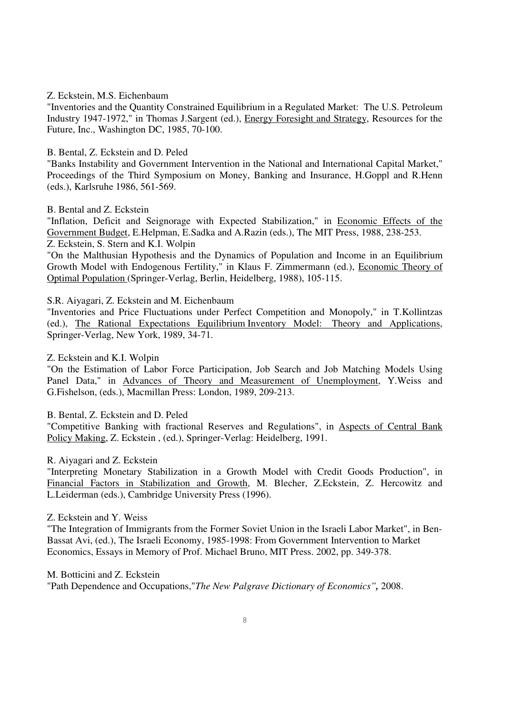#### Z. Eckstein, M.S. Eichenbaum

"Inventories and the Quantity Constrained Equilibrium in a Regulated Market: The U.S. Petroleum Industry 1947-1972," in Thomas J.Sargent (ed.), Energy Foresight and Strategy, Resources for the Future, Inc., Washington DC, 1985, 70-100.

#### B. Bental, Z. Eckstein and D. Peled

"Banks Instability and Government Intervention in the National and International Capital Market," Proceedings of the Third Symposium on Money, Banking and Insurance, H.Goppl and R.Henn (eds.), Karlsruhe 1986, 561-569.

#### B. Bental and Z. Eckstein

"Inflation, Deficit and Seignorage with Expected Stabilization," in Economic Effects of the Government Budget, E.Helpman, E.Sadka and A.Razin (eds.), The MIT Press, 1988, 238-253. Z. Eckstein, S. Stern and K.I. Wolpin

"On the Malthusian Hypothesis and the Dynamics of Population and Income in an Equilibrium Growth Model with Endogenous Fertility," in Klaus F. Zimmermann (ed.), Economic Theory of Optimal Population (Springer-Verlag, Berlin, Heidelberg, 1988), 105-115.

S.R. Aiyagari, Z. Eckstein and M. Eichenbaum

"Inventories and Price Fluctuations under Perfect Competition and Monopoly," in T.Kollintzas (ed.), The Rational Expectations Equilibrium Inventory Model: Theory and Applications, Springer-Verlag, New York, 1989, 34-71.

#### Z. Eckstein and K.I. Wolpin

"On the Estimation of Labor Force Participation, Job Search and Job Matching Models Using Panel Data," in Advances of Theory and Measurement of Unemployment, Y.Weiss and G.Fishelson, (eds.), Macmillan Press: London, 1989, 209-213.

#### B. Bental, Z. Eckstein and D. Peled

"Competitive Banking with fractional Reserves and Regulations", in Aspects of Central Bank Policy Making, Z. Eckstein , (ed.), Springer-Verlag: Heidelberg, 1991.

#### R. Aiyagari and Z. Eckstein

"Interpreting Monetary Stabilization in a Growth Model with Credit Goods Production", in Financial Factors in Stabilization and Growth, M. Blecher, Z.Eckstein, Z. Hercowitz and L.Leiderman (eds.), Cambridge University Press (1996).

#### Z. Eckstein and Y. Weiss

"The Integration of Immigrants from the Former Soviet Union in the Israeli Labor Market", in Ben-Bassat Avi, (ed.), The Israeli Economy, 1985-1998: From Government Intervention to Market Economics, Essays in Memory of Prof. Michael Bruno, MIT Press. 2002, pp. 349-378.

### M. Botticini and Z. Eckstein

"Path Dependence and Occupations,"*The New Palgrave Dictionary of Economics",* 2008.